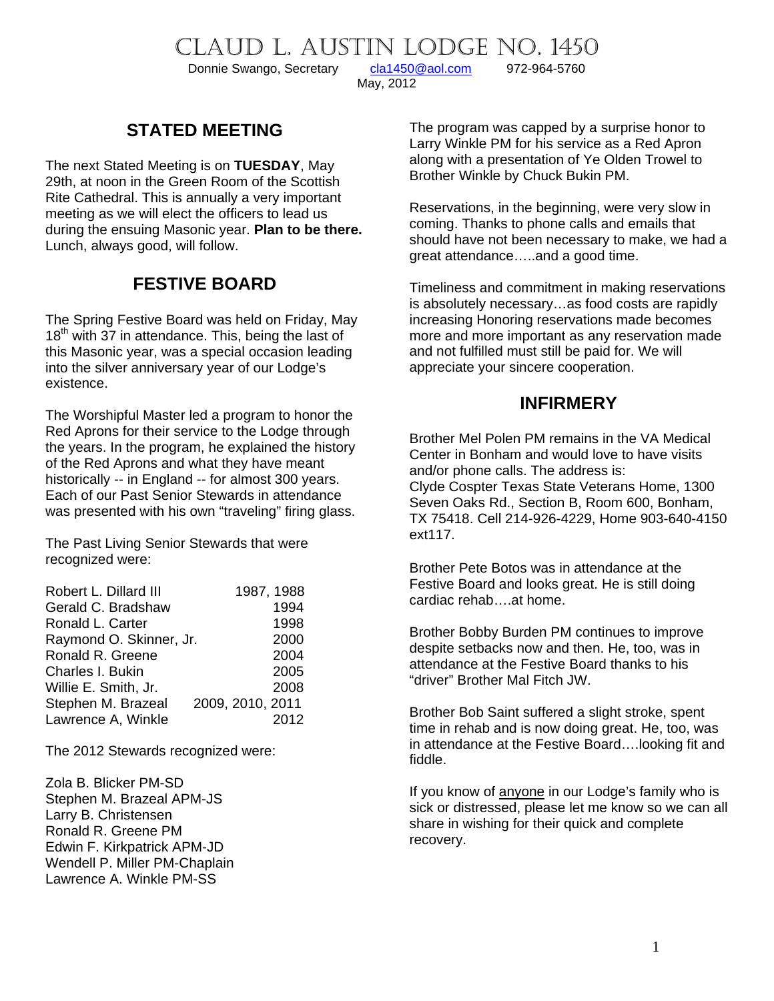CLAUD L. AUSTIN LODGE NO. 1450<br>Donnie Swango, Secretary cla1450@aol.com 972-964-5760

Donnie Swango, Secretary [cla1450@aol.com](mailto:cla1450@aol.com) 972-964-5760

May, 2012

#### **STATED MEETING**

The next Stated Meeting is on **TUESDAY**, May 29th, at noon in the Green Room of the Scottish Rite Cathedral. This is annually a very important meeting as we will elect the officers to lead us during the ensuing Masonic year. **Plan to be there.** Lunch, always good, will follow.

#### **FESTIVE BOARD**

The Spring Festive Board was held on Friday, May  $18<sup>th</sup>$  with 37 in attendance. This, being the last of this Masonic year, was a special occasion leading into the silver anniversary year of our Lodge's existence.

The Worshipful Master led a program to honor the Red Aprons for their service to the Lodge through the years. In the program, he explained the history of the Red Aprons and what they have meant historically -- in England -- for almost 300 years. Each of our Past Senior Stewards in attendance was presented with his own "traveling" firing glass.

The Past Living Senior Stewards that were recognized were:

| Robert L. Dillard III   | 1987, 1988       |
|-------------------------|------------------|
| Gerald C. Bradshaw      | 1994             |
| Ronald L. Carter        | 1998             |
| Raymond O. Skinner, Jr. | 2000             |
| Ronald R. Greene        | 2004             |
| Charles I. Bukin        | 2005             |
| Willie E. Smith, Jr.    | 2008             |
| Stephen M. Brazeal      | 2009, 2010, 2011 |
| Lawrence A, Winkle      | 2012             |

The 2012 Stewards recognized were:

Zola B. Blicker PM-SD Stephen M. Brazeal APM-JS Larry B. Christensen Ronald R. Greene PM Edwin F. Kirkpatrick APM-JD Wendell P. Miller PM-Chaplain Lawrence A. Winkle PM-SS

The program was capped by a surprise honor to Larry Winkle PM for his service as a Red Apron along with a presentation of Ye Olden Trowel to Brother Winkle by Chuck Bukin PM.

Reservations, in the beginning, were very slow in coming. Thanks to phone calls and emails that should have not been necessary to make, we had a great attendance…..and a good time.

Timeliness and commitment in making reservations is absolutely necessary…as food costs are rapidly increasing Honoring reservations made becomes more and more important as any reservation made and not fulfilled must still be paid for. We will appreciate your sincere cooperation.

#### **INFIRMERY**

Brother Mel Polen PM remains in the VA Medical Center in Bonham and would love to have visits and/or phone calls. The address is: Clyde Cospter Texas State Veterans Home, 1300 Seven Oaks Rd., Section B, Room 600, Bonham, TX 75418. Cell 214-926-4229, Home 903-640-4150 ext117.

Brother Pete Botos was in attendance at the Festive Board and looks great. He is still doing cardiac rehab….at home.

Brother Bobby Burden PM continues to improve despite setbacks now and then. He, too, was in attendance at the Festive Board thanks to his "driver" Brother Mal Fitch JW.

Brother Bob Saint suffered a slight stroke, spent time in rehab and is now doing great. He, too, was in attendance at the Festive Board….looking fit and fiddle.

If you know of anyone in our Lodge's family who is sick or distressed, please let me know so we can all share in wishing for their quick and complete recovery.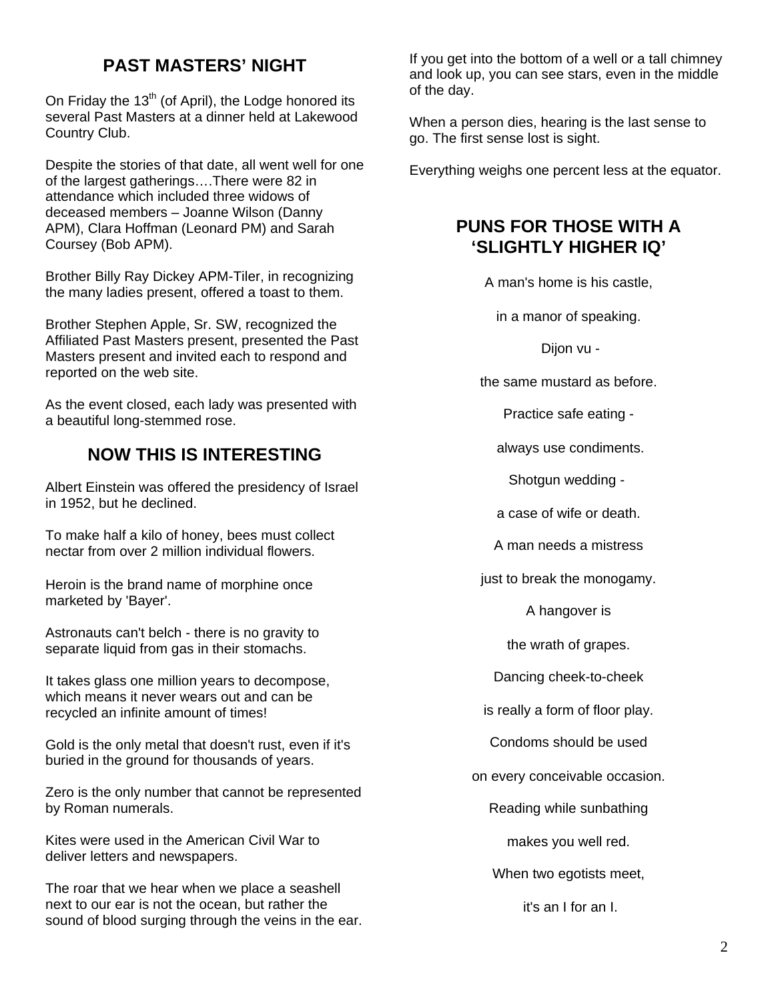# **PAST MASTERS' NIGHT**

On Friday the  $13<sup>th</sup>$  (of April), the Lodge honored its several Past Masters at a dinner held at Lakewood Country Club.

Despite the stories of that date, all went well for one of the largest gatherings….There were 82 in attendance which included three widows of deceased members – Joanne Wilson (Danny APM), Clara Hoffman (Leonard PM) and Sarah Coursey (Bob APM).

Brother Billy Ray Dickey APM-Tiler, in recognizing the many ladies present, offered a toast to them.

Brother Stephen Apple, Sr. SW, recognized the Affiliated Past Masters present, presented the Past Masters present and invited each to respond and reported on the web site.

As the event closed, each lady was presented with a beautiful long-stemmed rose.

#### **NOW THIS IS INTERESTING**

Albert Einstein was offered the presidency of Israel in 1952, but he declined.

To make half a kilo of honey, bees must collect nectar from over 2 million individual flowers.

Heroin is the brand name of morphine once marketed by 'Bayer'.

Astronauts can't belch - there is no gravity to separate liquid from gas in their stomachs.

It takes glass one million years to decompose, which means it never wears out and can be recycled an infinite amount of times!

Gold is the only metal that doesn't rust, even if it's buried in the ground for thousands of years.

Zero is the only number that cannot be represented by Roman numerals.

Kites were used in the American Civil War to deliver letters and newspapers.

The roar that we hear when we place a seashell next to our ear is not the ocean, but rather the sound of blood surging through the veins in the ear. If you get into the bottom of a well or a tall chimney and look up, you can see stars, even in the middle of the day.

When a person dies, hearing is the last sense to go. The first sense lost is sight.

Everything weighs one percent less at the equator.

#### **PUNS FOR THOSE WITH A 'SLIGHTLY HIGHER IQ'**

A man's home is his castle,

in a manor of speaking.

Dijon vu -

the same mustard as before.

Practice safe eating -

always use condiments.

Shotgun wedding -

a case of wife or death.

A man needs a mistress

just to break the monogamy.

A hangover is

the wrath of grapes.

Dancing cheek-to-cheek

is really a form of floor play.

Condoms should be used

on every conceivable occasion.

Reading while sunbathing

makes you well red.

When two egotists meet,

it's an I for an I.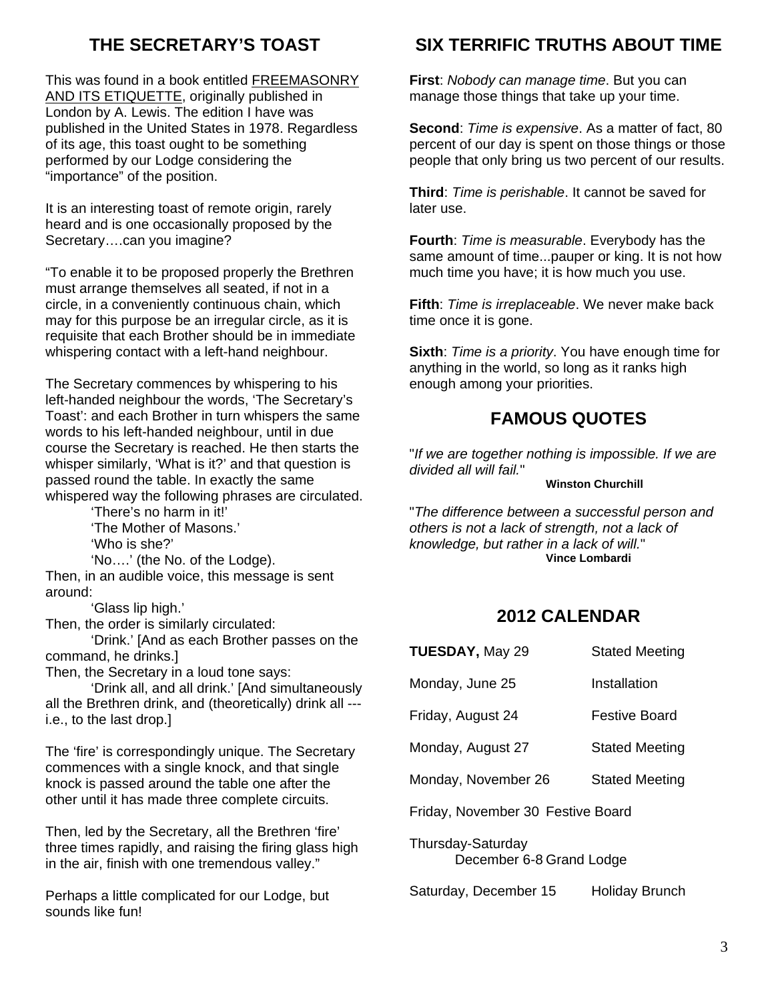# **THE SECRETARY'S TOAST**

This was found in a book entitled FREEMASONRY AND ITS ETIQUETTE, originally published in London by A. Lewis. The edition I have was published in the United States in 1978. Regardless of its age, this toast ought to be something performed by our Lodge considering the "importance" of the position.

It is an interesting toast of remote origin, rarely heard and is one occasionally proposed by the Secretary….can you imagine?

"To enable it to be proposed properly the Brethren must arrange themselves all seated, if not in a circle, in a conveniently continuous chain, which may for this purpose be an irregular circle, as it is requisite that each Brother should be in immediate whispering contact with a left-hand neighbour.

The Secretary commences by whispering to his left-handed neighbour the words, 'The Secretary's Toast': and each Brother in turn whispers the same words to his left-handed neighbour, until in due course the Secretary is reached. He then starts the whisper similarly, 'What is it?' and that question is passed round the table. In exactly the same whispered way the following phrases are circulated.

 'There's no harm in it!' 'The Mother of Masons.'

'Who is she?'

 'No….' (the No. of the Lodge). Then, in an audible voice, this message is sent around:

'Glass lip high.'

Then, the order is similarly circulated:

 'Drink.' [And as each Brother passes on the command, he drinks.]

Then, the Secretary in a loud tone says:

 'Drink all, and all drink.' [And simultaneously all the Brethren drink, and (theoretically) drink all -- i.e., to the last drop.]

The 'fire' is correspondingly unique. The Secretary commences with a single knock, and that single knock is passed around the table one after the other until it has made three complete circuits.

Then, led by the Secretary, all the Brethren 'fire' three times rapidly, and raising the firing glass high in the air, finish with one tremendous valley."

Perhaps a little complicated for our Lodge, but sounds like fun!

# **SIX TERRIFIC TRUTHS ABOUT TIME**

**First**: *Nobody can manage time*. But you can manage those things that take up your time.

**Second**: *Time is expensive*. As a matter of fact, 80 percent of our day is spent on those things or those people that only bring us two percent of our results.

**Third**: *Time is perishable*. It cannot be saved for later use.

**Fourth**: *Time is measurable*. Everybody has the same amount of time...pauper or king. It is not how much time you have; it is how much you use.

**Fifth**: *Time is irreplaceable*. We never make back time once it is gone.

**Sixth**: *Time is a priority*. You have enough time for anything in the world, so long as it ranks high enough among your priorities.

## **FAMOUS QUOTES**

"*If we are together nothing is impossible. If we are divided all will fail.*"

#### **Winston Churchill**

"*The difference between a successful person and others is not a lack of strength, not a lack of knowledge, but rather in a lack of will.*" **Vince Lombardi**

## **2012 CALENDAR**

| <b>TUESDAY, May 29</b>                        | <b>Stated Meeting</b> |  |
|-----------------------------------------------|-----------------------|--|
| Monday, June 25                               | Installation          |  |
| Friday, August 24                             | <b>Festive Board</b>  |  |
| Monday, August 27                             | <b>Stated Meeting</b> |  |
| Monday, November 26                           | <b>Stated Meeting</b> |  |
| Friday, November 30 Festive Board             |                       |  |
| Thursday-Saturday<br>December 6-8 Grand Lodge |                       |  |

Saturday, December 15 Holiday Brunch